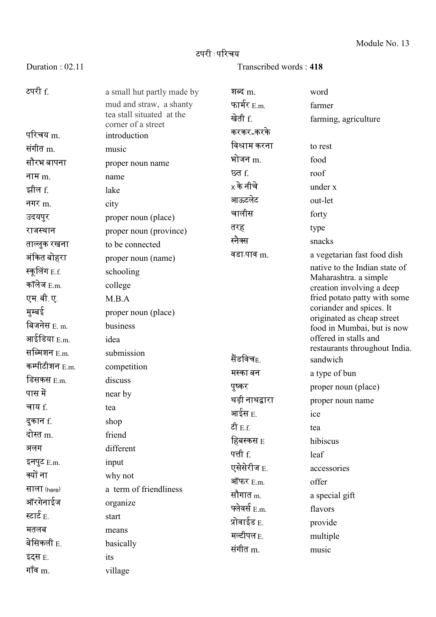## टपरी : पररचय

Duration : 02.11 Transcribed words : 418

| टपरी f.             | a small hut partly made by<br>mud and straw, a shanty<br>tea stall situated at the<br>corner of a street | शब्द m.<br>फार्मर $_{E.m.}$<br>खेती f.<br>करकर <sub>−</sub> करके | word<br>farmer<br>farming, agriculture                 |
|---------------------|----------------------------------------------------------------------------------------------------------|------------------------------------------------------------------|--------------------------------------------------------|
| परिचय m.            | introduction                                                                                             | विश्राम करना                                                     | to rest                                                |
| संगीत m.            | music                                                                                                    | भोजन m.                                                          | food                                                   |
| सौरभ बापना          | proper noun name                                                                                         | छत f.                                                            | roof                                                   |
| नाम $m$ .           | name                                                                                                     | $\times$ के नीचे                                                 | under x                                                |
| झील f.              | lake                                                                                                     | आऊटलेट                                                           |                                                        |
| नगर $m$ .           | city                                                                                                     | चालीस                                                            | out-let                                                |
| उदयपुर              | proper noun (place)                                                                                      |                                                                  | forty                                                  |
| राजस्थान            | proper noun (province)                                                                                   | तरह                                                              | type                                                   |
| ताल्लुक रखना        | to be connected                                                                                          | स्नैक्स                                                          | snacks                                                 |
| अंकित बोहरा         | proper noun (name)                                                                                       | वडा पाव m.                                                       | a vegetarian fast food dish                            |
| स्कूलिंग E.f.       | schooling                                                                                                |                                                                  | native to the Indian state of<br>Maharashtra. a simple |
| कॉलेज $E.m.$        | college                                                                                                  |                                                                  | creation involving a deep                              |
| एम बी.ए.            | M.B.A                                                                                                    |                                                                  | fried potato patty with some                           |
| मुम्बई              | proper noun (place)                                                                                      |                                                                  | coriander and spices. It<br>originated as cheap street |
| बिजनेस E. m.        | business                                                                                                 |                                                                  | food in Mumbai, but is now                             |
| आईडिया E.m.         | idea                                                                                                     |                                                                  | offered in stalls and                                  |
| सब्मिशन E.m.        | submission                                                                                               | सैंडविच <sub>E.</sub>                                            | restaurants throughout India.<br>sandwich              |
| कम्पीटीशन $E.m$     | competition                                                                                              | मस्का बन                                                         | a type of bun                                          |
| डिसकस E.m.          | discuss                                                                                                  | पुष्कर                                                           | proper noun (place)                                    |
| पास में             | near by                                                                                                  | थड़ी नाथद्वारा                                                   |                                                        |
| चाय f.              | tea                                                                                                      | आईस E.                                                           | proper noun name                                       |
| दुकान f.            | shop                                                                                                     | टी $E.f.$                                                        | ice                                                    |
| दोस्त m.            | friend                                                                                                   |                                                                  | tea                                                    |
| अलग                 | different                                                                                                | हिबस्कस E                                                        | hibiscus                                               |
| इनपुट $E.m$ .       | input                                                                                                    | पत्ती f.                                                         | leaf                                                   |
| क्यों ना            | why not                                                                                                  | एसेसेरीज E.                                                      | accessories                                            |
| साला (here)         | a term of friendliness                                                                                   | ऑफर E.m.                                                         | offer                                                  |
| ऑरगेनाईज            | organize                                                                                                 | सौगात <sub>m.</sub>                                              | a special gift                                         |
| स्टार्ट $_{\rm E.}$ | start                                                                                                    | फ्लेवर्स $E.m.$                                                  | flavors                                                |
| मतलब                | means                                                                                                    | प्रोवाईड $_{\rm E.}$                                             | provide                                                |
| बेसिकली $E$ .       | basically                                                                                                | मल्टीपल E.                                                       | multiple                                               |
| इट्स E.             | its                                                                                                      | संगीत m.                                                         | music                                                  |
| गाँव $m$ .          | village                                                                                                  |                                                                  |                                                        |